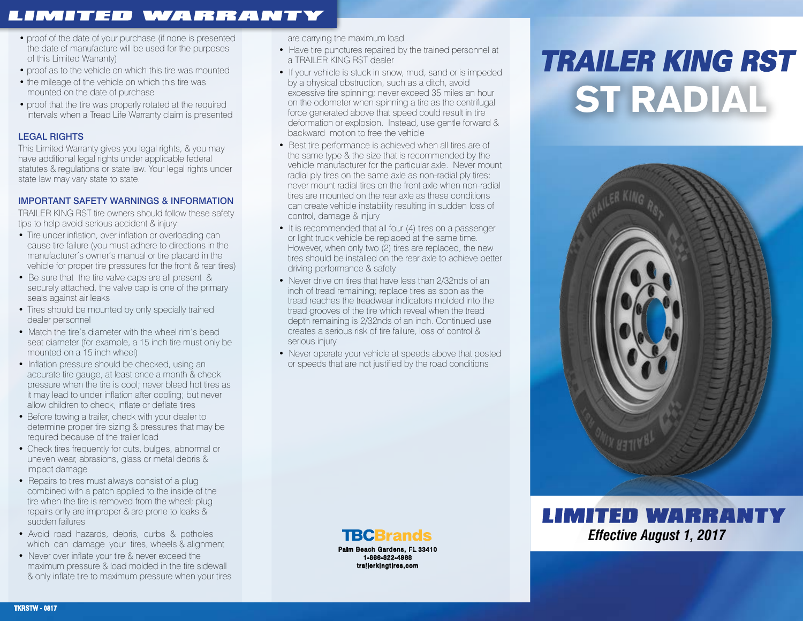## **LIMITED WARRANTY**

- proof of the date of your purchase (if none is presented the date of manufacture will be used for the purposes of this Limited Warranty)
- proof as to the vehicle on which this tire was mounted
- the mileage of the vehicle on which this tire was mounted on the date of purchase
- proof that the tire was properly rotated at the required intervals when a Tread Life Warranty claim is presented

#### LEGAL RIGHTS

This Limited Warranty gives you legal rights, & you may have additional legal rights under applicable federal statutes & regulations or state law. Your legal rights under state law may vary state to state.

#### IMPORTANT SAFETY WARNINGS & INFORMATION

TRAILER KING RST tire owners should follow these safety tips to help avoid serious accident & injury:

- Tire under inflation, over inflation or overloading can cause tire failure (you must adhere to directions in the manufacturer's owner's manual or tire placard in the vehicle for proper tire pressures for the front & rear tires)
- Be sure that the tire valve caps are all present & securely attached, the valve cap is one of the primary seals against air leaks
- Tires should be mounted by only specially trained dealer personnel
- Match the tire's diameter with the wheel rim's bead seat diameter (for example, a 15 inch tire must only be mounted on a 15 inch wheel)
- Inflation pressure should be checked, using an accurate tire gauge, at least once a month & check pressure when the tire is cool; never bleed hot tires as it may lead to under inflation after cooling; but never allow children to check, inflate or deflate tires
- Before towing a trailer, check with your dealer to determine proper tire sizing & pressures that may be required because of the trailer load
- Check tires frequently for cuts, bulges, abnormal or uneven wear, abrasions, glass or metal debris & impact damage
- Repairs to tires must always consist of a plug combined with a patch applied to the inside of the tire when the tire is removed from the wheel; plug repairs only are improper & are prone to leaks & sudden failures
- Avoid road hazards, debris, curbs & potholes which can damage your tires, wheels & alignment
- Never over inflate your tire & never exceed the maximum pressure & load molded in the tire sidewall & only inflate tire to maximum pressure when your tires

are carrying the maximum load

- Have tire punctures repaired by the trained personnel at a TRAILER KING RST dealer
- If your vehicle is stuck in snow, mud, sand or is impeded by a physical obstruction, such as a ditch, avoid excessive tire spinning; never exceed 35 miles an hour on the odometer when spinning a tire as the centrifugal force generated above that speed could result in tire deformation or explosion. Instead, use gentle forward & backward motion to free the vehicle
- Best tire performance is achieved when all tires are of the same type & the size that is recommended by the vehicle manufacturer for the particular axle. Never mount radial ply tires on the same axle as non-radial ply tires; never mount radial tires on the front axle when non-radial tires are mounted on the rear axle as these conditions can create vehicle instability resulting in sudden loss of control, damage & injury
- It is recommended that all four (4) tires on a passenger or light truck vehicle be replaced at the same time. However, when only two (2) tires are replaced, the new tires should be installed on the rear axle to achieve better driving performance & safety
- Never drive on tires that have less than 2/32nds of an inch of tread remaining; replace tires as soon as the tread reaches the treadwear indicators molded into the tread grooves of the tire which reveal when the tread depth remaining is 2/32nds of an inch. Continued use creates a serious risk of tire failure, loss of control & serious injury
- Never operate your vehicle at speeds above that posted or speeds that are not justified by the road conditions

# **TRAILER KING RST ST RADIAL**





Palm Beach Gardens, FL 33410 1-866-822-4968 trailerkingtires.com

**TBCBrands**